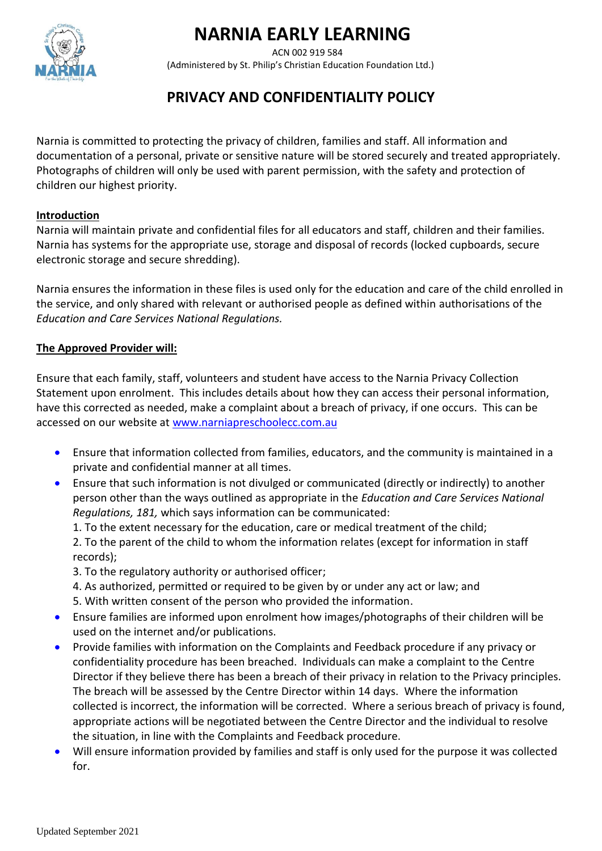# **NARNIA EARLY LEARNING**



ACN 002 919 584 (Administered by St. Philip's Christian Education Foundation Ltd.)

## **PRIVACY AND CONFIDENTIALITY POLICY**

Narnia is committed to protecting the privacy of children, families and staff. All information and documentation of a personal, private or sensitive nature will be stored securely and treated appropriately. Photographs of children will only be used with parent permission, with the safety and protection of children our highest priority.

#### **Introduction**

Narnia will maintain private and confidential files for all educators and staff, children and their families. Narnia has systems for the appropriate use, storage and disposal of records (locked cupboards, secure electronic storage and secure shredding).

Narnia ensures the information in these files is used only for the education and care of the child enrolled in the service, and only shared with relevant or authorised people as defined within authorisations of the *Education and Care Services National Regulations.*

#### **The Approved Provider will:**

Ensure that each family, staff, volunteers and student have access to the Narnia Privacy Collection Statement upon enrolment. This includes details about how they can access their personal information, have this corrected as needed, make a complaint about a breach of privacy, if one occurs. This can be accessed on our website at [www.narniapreschoolecc.com.au](http://www.narniapreschoolecc.com.au/)

- Ensure that information collected from families, educators, and the community is maintained in a private and confidential manner at all times.
- Ensure that such information is not divulged or communicated (directly or indirectly) to another person other than the ways outlined as appropriate in the *Education and Care Services National Regulations, 181,* which says information can be communicated:

1. To the extent necessary for the education, care or medical treatment of the child;

2. To the parent of the child to whom the information relates (except for information in staff records);

- 3. To the regulatory authority or authorised officer;
- 4. As authorized, permitted or required to be given by or under any act or law; and
- 5. With written consent of the person who provided the information.
- Ensure families are informed upon enrolment how images/photographs of their children will be used on the internet and/or publications.
- Provide families with information on the Complaints and Feedback procedure if any privacy or confidentiality procedure has been breached. Individuals can make a complaint to the Centre Director if they believe there has been a breach of their privacy in relation to the Privacy principles. The breach will be assessed by the Centre Director within 14 days. Where the information collected is incorrect, the information will be corrected. Where a serious breach of privacy is found, appropriate actions will be negotiated between the Centre Director and the individual to resolve the situation, in line with the Complaints and Feedback procedure.
- Will ensure information provided by families and staff is only used for the purpose it was collected for.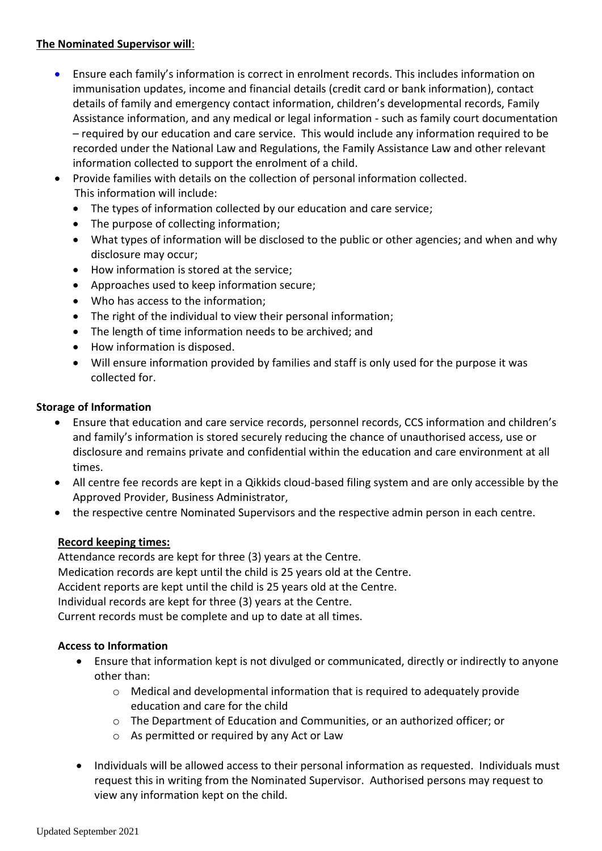#### **The Nominated Supervisor will**:

- Ensure each family's information is correct in enrolment records. This includes information on immunisation updates, income and financial details (credit card or bank information), contact details of family and emergency contact information, children's developmental records, Family Assistance information, and any medical or legal information - such as family court documentation – required by our education and care service. This would include any information required to be recorded under the National Law and Regulations, the Family Assistance Law and other relevant information collected to support the enrolment of a child.
- Provide families with details on the collection of personal information collected. This information will include:
	- The types of information collected by our education and care service;
	- The purpose of collecting information;
	- What types of information will be disclosed to the public or other agencies; and when and why disclosure may occur;
	- How information is stored at the service;
	- Approaches used to keep information secure;
	- Who has access to the information;
	- The right of the individual to view their personal information;
	- The length of time information needs to be archived; and
	- How information is disposed.
	- Will ensure information provided by families and staff is only used for the purpose it was collected for.

#### **Storage of Information**

- Ensure that education and care service records, personnel records, CCS information and children's and family's information is stored securely reducing the chance of unauthorised access, use or disclosure and remains private and confidential within the education and care environment at all times.
- All centre fee records are kept in a Qikkids cloud-based filing system and are only accessible by the Approved Provider, Business Administrator,
- the respective centre Nominated Supervisors and the respective admin person in each centre.

#### **Record keeping times:**

Attendance records are kept for three (3) years at the Centre. Medication records are kept until the child is 25 years old at the Centre. Accident reports are kept until the child is 25 years old at the Centre. Individual records are kept for three (3) years at the Centre. Current records must be complete and up to date at all times.

#### **Access to Information**

- Ensure that information kept is not divulged or communicated, directly or indirectly to anyone other than:
	- $\circ$  Medical and developmental information that is required to adequately provide education and care for the child
	- o The Department of Education and Communities, or an authorized officer; or
	- o As permitted or required by any Act or Law
- Individuals will be allowed access to their personal information as requested. Individuals must request this in writing from the Nominated Supervisor. Authorised persons may request to view any information kept on the child.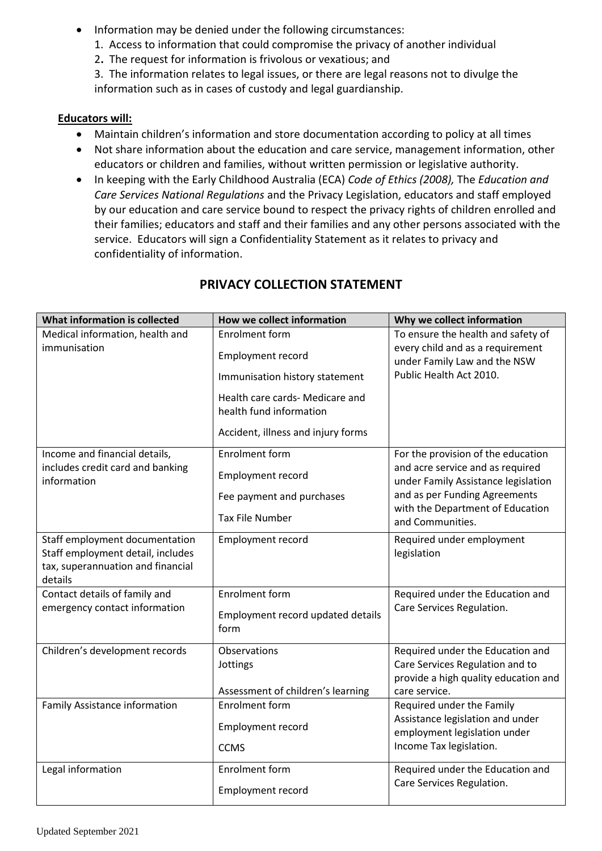- Information may be denied under the following circumstances:
	- 1. Access to information that could compromise the privacy of another individual
	- 2**.** The request for information is frivolous or vexatious; and

3. The information relates to legal issues, or there are legal reasons not to divulge the information such as in cases of custody and legal guardianship.

#### **Educators will:**

- Maintain children's information and store documentation according to policy at all times
- Not share information about the education and care service, management information, other educators or children and families, without written permission or legislative authority.
- In keeping with the Early Childhood Australia (ECA) *Code of Ethics (2008),* The *Education and Care Services National Regulations* and the Privacy Legislation, educators and staff employed by our education and care service bound to respect the privacy rights of children enrolled and their families; educators and staff and their families and any other persons associated with the service. Educators will sign a Confidentiality Statement as it relates to privacy and confidentiality of information.

| What information is collected                                          | How we collect information         | Why we collect information                                                                  |
|------------------------------------------------------------------------|------------------------------------|---------------------------------------------------------------------------------------------|
| Medical information, health and<br>immunisation                        | <b>Enrolment form</b>              | To ensure the health and safety of                                                          |
|                                                                        | <b>Employment record</b>           | every child and as a requirement<br>under Family Law and the NSW<br>Public Health Act 2010. |
|                                                                        | Immunisation history statement     |                                                                                             |
|                                                                        | Health care cards- Medicare and    |                                                                                             |
|                                                                        | health fund information            |                                                                                             |
|                                                                        | Accident, illness and injury forms |                                                                                             |
| Income and financial details,                                          | <b>Enrolment form</b>              | For the provision of the education                                                          |
| includes credit card and banking<br>information                        | <b>Employment record</b>           | and acre service and as required<br>under Family Assistance legislation                     |
|                                                                        | Fee payment and purchases          | and as per Funding Agreements                                                               |
|                                                                        | <b>Tax File Number</b>             | with the Department of Education<br>and Communities.                                        |
| Staff employment documentation                                         | Employment record                  | Required under employment                                                                   |
| Staff employment detail, includes<br>tax, superannuation and financial |                                    | legislation                                                                                 |
| details                                                                |                                    |                                                                                             |
| Contact details of family and                                          | <b>Enrolment form</b>              | Required under the Education and                                                            |
| emergency contact information                                          | Employment record updated details  | Care Services Regulation.                                                                   |
|                                                                        | form                               |                                                                                             |
| Children's development records                                         | Observations                       | Required under the Education and                                                            |
|                                                                        | Jottings                           | Care Services Regulation and to<br>provide a high quality education and                     |
|                                                                        | Assessment of children's learning  | care service.                                                                               |
| Family Assistance information                                          | <b>Enrolment form</b>              | Required under the Family                                                                   |
|                                                                        | Employment record                  | Assistance legislation and under                                                            |
|                                                                        | <b>CCMS</b>                        | employment legislation under<br>Income Tax legislation.                                     |
|                                                                        |                                    |                                                                                             |
| Legal information                                                      | <b>Enrolment form</b>              | Required under the Education and<br>Care Services Regulation.                               |
|                                                                        | <b>Employment record</b>           |                                                                                             |

### **PRIVACY COLLECTION STATEMENT**